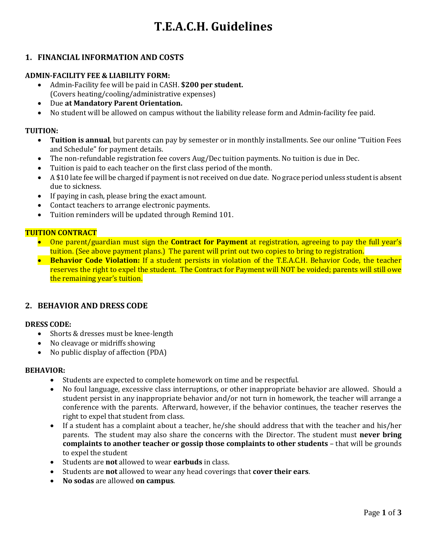# **T.E.A.C.H. Guidelines**

## **1. FINANCIAL INFORMATION AND COSTS**

## **ADMIN-FACILITY FEE & LIABILITY FORM:**

- Admin-Facility fee will be paid in CASH. **\$200 per student.** (Covers heating/cooling/administrative expenses)
- Due **at Mandatory Parent Orientation.**
- No student will be allowed on campus without the liability release form and Admin-facility fee paid.

#### **TUITION:**

- **Tuition is annual**, but parents can pay by semester or in monthly installments. See our online "Tuition Fees and Schedule" for payment details.
- The non-refundable registration fee covers Aug/Dec tuition payments. No tuition is due in Dec.
- Tuition is paid to each teacher on the first class period of the month.
- A \$10 late fee will be charged if payment is not received on due date. No grace period unless student is absent due to sickness.
- If paying in cash, please bring the exact amount.
- Contact teachers to arrange electronic payments.
- Tuition reminders will be updated through Remind 101.

#### **TUITION CONTRACT**

- One parent/guardian must sign the **Contract for Payment** at registration, agreeing to pay the full year's tuition. (See above payment plans.) The parent will print out two copies to bring to registration.
- **Behavior Code Violation:** If a student persists in violation of the T.E.A.C.H. Behavior Code, the teacher reserves the right to expel the student. The Contract for Payment will NOT be voided; parents will still owe the remaining year's tuition.

## **2. BEHAVIOR AND DRESS CODE**

## **DRESS CODE:**

- Shorts & dresses must be knee-length
- No cleavage or midriffs showing
- No public display of affection (PDA)

#### **BEHAVIOR:**

- Students are expected to complete homework on time and be respectful.
- No foul language, excessive class interruptions, or other inappropriate behavior are allowed. Should a student persist in any inappropriate behavior and/or not turn in homework, the teacher will arrange a conference with the parents. Afterward, however, if the behavior continues, the teacher reserves the right to expel that student from class.
- If a student has a complaint about a teacher, he/she should address that with the teacher and his/her parents. The student may also share the concerns with the Director. The student must **never bring complaints to another teacher or gossip those complaints to other students** – that will be grounds to expel the student
- Students are **not** allowed to wear **earbuds** in class.
- Students are **not** allowed to wear any head coverings that **cover their ears**.
- **No sodas** are allowed **on campus**.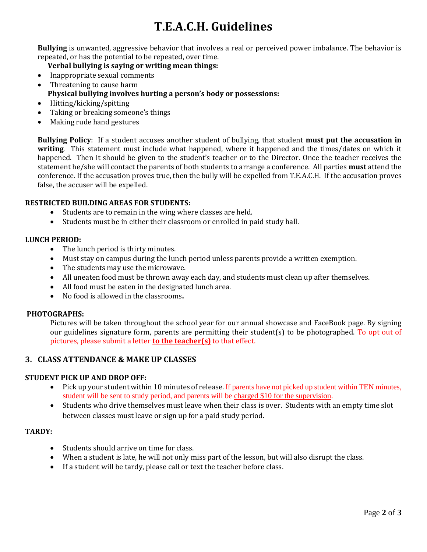## **T.E.A.C.H. Guidelines**

**Bullying** is unwanted, aggressive behavior that involves a real or perceived power imbalance. The behavior is repeated, or has the potential to be repeated, over time.

**Verbal bullying is saying or writing mean things:**

- Inappropriate sexual comments
- Threatening to cause harm
	- **Physical bullying involves hurting a person's body or possessions:**
- Hitting/kicking/spitting
- Taking or breaking someone's things
- Making rude hand gestures

**Bullying Policy**: If a student accuses another student of bullying, that student **must put the accusation in writing**. This statement must include what happened, where it happened and the times/dates on which it happened. Then it should be given to the student's teacher or to the Director. Once the teacher receives the statement he/she will contact the parents of both students to arrange a conference. All parties **must** attend the conference. If the accusation proves true, then the bully will be expelled from T.E.A.C.H. If the accusation proves false, the accuser will be expelled.

#### **RESTRICTED BUILDING AREAS FOR STUDENTS:**

- Students are to remain in the wing where classes are held.
- Students must be in either their classroom or enrolled in paid study hall.

#### **LUNCH PERIOD:**

- The lunch period is thirty minutes.
- Must stay on campus during the lunch period unless parents provide a written exemption.
- The students may use the microwave.
- All uneaten food must be thrown away each day, and students must clean up after themselves.
- All food must be eaten in the designated lunch area.
- No food is allowed in the classrooms**.**

#### **PHOTOGRAPHS:**

Pictures will be taken throughout the school year for our annual showcase and FaceBook page. By signing our guidelines signature form, parents are permitting their student(s) to be photographed. To opt out of pictures, please submit a letter **to the teacher(s)** to that effect.

## **3. CLASS ATTENDANCE & MAKE UP CLASSES**

## **STUDENT PICK UP AND DROP OFF:**

- Pick up your student within 10 minutes of release. If parents have not picked up student within TEN minutes, student will be sent to study period, and parents will be charged \$10 for the supervision.
- Students who drive themselves must leave when their class is over. Students with an empty time slot between classes must leave or sign up for a paid study period.

#### **TARDY:**

- Students should arrive on time for class.
- When a student is late, he will not only miss part of the lesson, but will also disrupt the class.
- If a student will be tardy, please call or text the teacher before class.